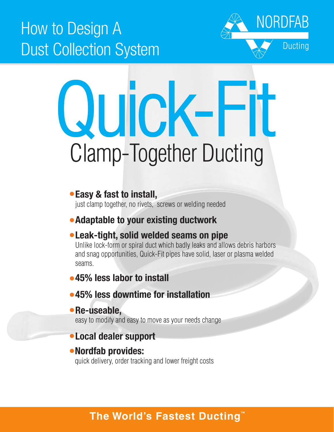## How to Design A Dust Collection System



# Clamp-Together Ducting Quick-Fit

#### Easy & fast to install,

just clamp together, no rivets, screws or welding needed

## Adaptable to your existing ductwork

## Leak-tight, solid welded seams on pipe

Unlike lock-form or spiral duct which badly leaks and allows debris harbors and snag opportunities, Quick-Fit pipes have solid, laser or plasma welded seams.

## •45% less labor to install

#### 45% less downtime for installation

#### • Re-useable,

easy to modify and easy to move as your needs change

## Local dealer support

#### Nordfab provides:

quick delivery, order tracking and lower freight costs

## **The World's Fastest Ducting™**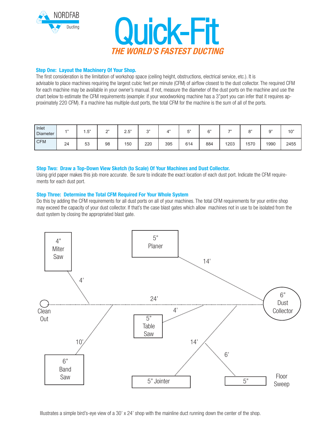



#### Step One: Layout the Machinery Of Your Shop.

The first consideration is the limitation of workshop space (ceiling height, obstructions, electrical service, etc.). It is advisable to place machines requiring the largest cubic feet per minute (CFM) of airflow closest to the dust collector. The required CFM for each machine may be available in your owner's manual. If not, measure the diameter of the dust ports on the machine and use the chart below to estimate the CFM requirements (example: if your woodworking machine has a 3"port you can infer that it requires approximately 220 CFM). If a machine has multiple dust ports, the total CFM for the machine is the sum of all of the ports.

| Inlet<br><b>Diameter</b> | A 33 | Б"<br>ن. ا | $\bigcap$<br>- | 2.5" | $\bigcap$ | $A$ <sup>33</sup> | $-$ | $\sim$ | $\rightarrow$ | $^{\circ}$ | $\bigcap$ "<br>ີ | 10"  |
|--------------------------|------|------------|----------------|------|-----------|-------------------|-----|--------|---------------|------------|------------------|------|
| CFM                      | 24   | 53         | 98             | 150  | 220       | 395               | 614 | 884    | 1203          | 1570       | 1990             | 2455 |

#### Step Two: Draw a Top-Down View Sketch (to Scale) Of Your Machines and Dust Collector.

Using grid paper makes this job more accurate. Be sure to indicate the exact location of each dust port. Indicate the CFM requirements for each dust port.

#### Step Three: Determine the Total CFM Required For Your Whole System

Do this by adding the CFM requirements for all dust ports on all of your machines. The total CFM requirements for your entire shop may exceed the capacity of your dust collector. If that's the case blast gates which allow machines not in use to be isolated from the dust system by closing the appropriated blast gate.



Illustrates a simple bird's-eye view of a 30' x 24' shop with the mainline duct running down the center of the shop.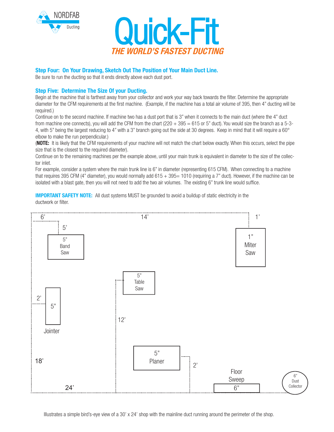



#### Step Four: On Your Drawing, Sketch Out The Position of Your Main Duct Line.

Be sure to run the ducting so that it ends directly above each dust port.

#### Step Five: Determine The Size Of your Ducting.

Begin at the machine that is farthest away from your collector and work your way back towards the filter. Determine the appropriate diameter for the CFM requirements at the first machine. (Example, if the machine has a total air volume of 395, then 4" ducting will be required.)

Continue on to the second machine. If machine two has a dust port that is 3" when it connects to the main duct (where the 4" duct from machine one connects), you will add the CFM from the chart  $(220 + 395 = 615)$  or 5" duct). You would size the branch as a 5-3-4, with 5" being the largest reducing to 4" with a 3" branch going out the side at 30 degrees. Keep in mind that it will require a 60° elbow to make the run perpendicular.)

(NOTE: It is likely that the CFM requirements of your machine will not match the chart below exactly. When this occurs, select the pipe size that is the closest to the required diameter).

Continue on to the remaining machines per the example above, until your main trunk is equivalent in diameter to the size of the collector inlet.

For example, consider a system where the main trunk line is 6" in diameter (representing 615 CFM). When connecting to a machine that requires 395 CFM (4" diameter), you would normally add 615 + 395= 1010 (requiring a 7" duct). However, if the machine can be isolated with a blast gate, then you will not need to add the two air volumes. The existing 6" trunk line would suffice.

**IMPORTANT SAFETY NOTE:** All dust systems MUST be grounded to avoid a buildup of static electricity in the ductwork or filter.